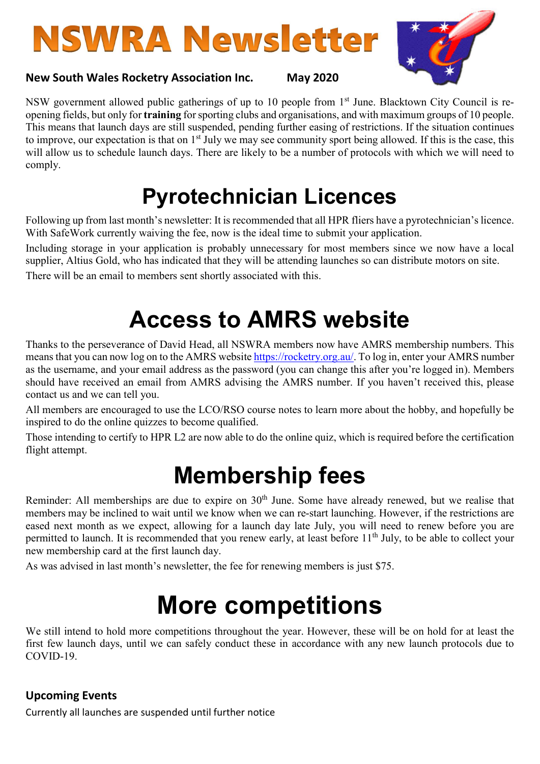# **NSWRA Newsletter**

#### New South Wales Rocketry Association Inc. May 2020



NSW government allowed public gatherings of up to 10 people from 1<sup>st</sup> June. Blacktown City Council is reopening fields, but only for training for sporting clubs and organisations, and with maximum groups of 10 people. This means that launch days are still suspended, pending further easing of restrictions. If the situation continues to improve, our expectation is that on  $1<sup>st</sup>$  July we may see community sport being allowed. If this is the case, this will allow us to schedule launch days. There are likely to be a number of protocols with which we will need to comply.

#### Pyrotechnician Licences

Following up from last month's newsletter: It is recommended that all HPR fliers have a pyrotechnician's licence. With SafeWork currently waiving the fee, now is the ideal time to submit your application.

Including storage in your application is probably unnecessary for most members since we now have a local supplier, Altius Gold, who has indicated that they will be attending launches so can distribute motors on site.

There will be an email to members sent shortly associated with this.

### Access to AMRS website

Thanks to the perseverance of David Head, all NSWRA members now have AMRS membership numbers. This means that you can now log on to the AMRS website https://rocketry.org.au/. To log in, enter your AMRS number as the username, and your email address as the password (you can change this after you're logged in). Members should have received an email from AMRS advising the AMRS number. If you haven't received this, please contact us and we can tell you.

All members are encouraged to use the LCO/RSO course notes to learn more about the hobby, and hopefully be inspired to do the online quizzes to become qualified.

Those intending to certify to HPR L2 are now able to do the online quiz, which is required before the certification flight attempt.

### Membership fees

Reminder: All memberships are due to expire on 30<sup>th</sup> June. Some have already renewed, but we realise that members may be inclined to wait until we know when we can re-start launching. However, if the restrictions are eased next month as we expect, allowing for a launch day late July, you will need to renew before you are permitted to launch. It is recommended that you renew early, at least before 11<sup>th</sup> July, to be able to collect your new membership card at the first launch day.

As was advised in last month's newsletter, the fee for renewing members is just \$75.

## More competitions

We still intend to hold more competitions throughout the year. However, these will be on hold for at least the first few launch days, until we can safely conduct these in accordance with any new launch protocols due to COVID-19.

#### Upcoming Events

Currently all launches are suspended until further notice